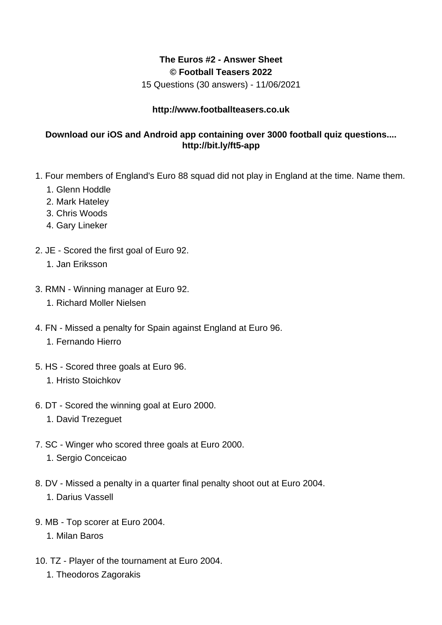## **The Euros #2 - Answer Sheet © Football Teasers 2022**

15 Questions (30 answers) - 11/06/2021

## **http://www.footballteasers.co.uk**

## **Download our iOS and Android app containing over 3000 football quiz questions.... http://bit.ly/ft5-app**

- 1. Four members of England's Euro 88 squad did not play in England at the time. Name them.
	- 1. Glenn Hoddle
	- 2. Mark Hateley
	- 3. Chris Woods
	- 4. Gary Lineker
- 2. JE Scored the first goal of Euro 92.
	- 1. Jan Eriksson
- 3. RMN Winning manager at Euro 92.
	- 1. Richard Moller Nielsen
- 4. FN Missed a penalty for Spain against England at Euro 96.
	- 1. Fernando Hierro
- 5. HS Scored three goals at Euro 96.
	- 1. Hristo Stoichkov
- 6. DT Scored the winning goal at Euro 2000.
	- 1. David Trezeguet
- 7. SC Winger who scored three goals at Euro 2000.
	- 1. Sergio Conceicao
- 8. DV Missed a penalty in a quarter final penalty shoot out at Euro 2004. 1. Darius Vassell
- 9. MB Top scorer at Euro 2004.
	- 1. Milan Baros
- 10. TZ Player of the tournament at Euro 2004.
	- 1. Theodoros Zagorakis